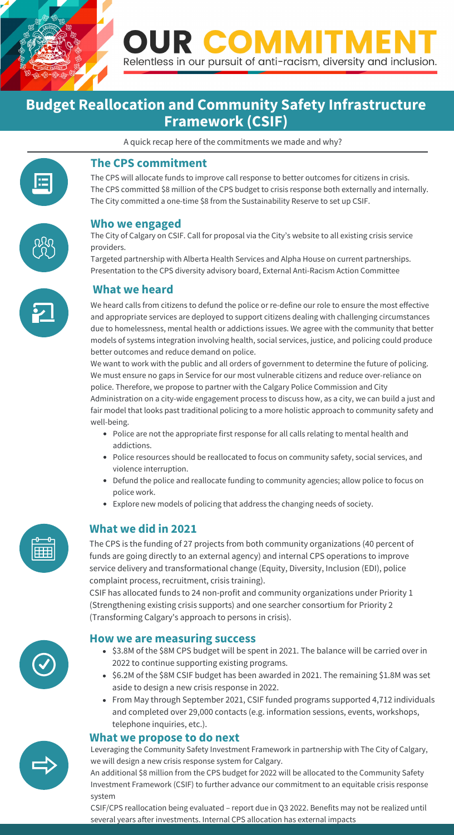

A quick recap here of the commitments we made and why?

### **Budget Reallocation and Community Safety Infrastructure Framework (CSIF)**

We heard calls from citizens to defund the police or re-define our role to ensure the most effective and appropriate services are deployed to support citizens dealing with challenging circumstances due to homelessness, mental health or addictions issues. We agree with the community that better models of systems integration involving health, social services, justice, and policing could produce better outcomes and reduce demand on police.

We want to work with the public and all orders of government to determine the future of policing. We must ensure no gaps in Service for our most vulnerable citizens and reduce over-reliance on police. Therefore, we propose to partner with the Calgary Police Commission and City

- Police are not the appropriate first response for all calls relating to mental health and addictions.
- Police resources should be reallocated to focus on community safety, social services, and violence interruption.
- Defund the police and reallocate funding to community agencies; allow police to focus on police work.
- Explore new models of policing that address the changing needs of society.



Administration on a city-wide engagement process to discuss how, as a city, we can build a just and fair model that looks past traditional policing to a more holistic approach to community safety and well-being.

• \$3.8M of the \$8M CPS budget will be spent in 2021. The balance will be carried over in 2022 to continue supporting existing programs.



#### **The CPS commitment**

- \$6.2M of the \$8M CSIF budget has been awarded in 2021. The remaining \$1.8M was set aside to design a new crisis response in 2022.
- From May through September 2021, CSIF funded programs supported 4,712 individuals and completed over 29,000 contacts (e.g. information sessions, events, workshops, telephone inquiries, etc.).

The CPS will allocate funds to improve call response to better outcomes for citizens in crisis. The CPS committed \$8 million of the CPS budget to crisis response both externally and internally. The City committed a one-time \$8 from the Sustainability Reserve to set up CSIF.



An additional \$8 million from the CPS budget for 2022 will be allocated to the Community Safety Investment Framework (CSIF) to further advance our commitment to an equitable crisis response system

#### **Who we engaged**

The City of Calgary on CSIF. Call for proposal via the City's website to all existing crisis service providers.

Targeted partnership with Alberta Health Services and Alpha House on current partnerships. Presentation to the CPS diversity advisory board, External Anti-Racism Action Committee



#### **What we heard**

#### **What we did in 2021**

The CPS is the funding of 27 projects from both community organizations (40 percent of funds are going directly to an external agency) and internal CPS operations to improve service delivery and transformational change (Equity, Diversity, Inclusion (EDI), police complaint process, recruitment, crisis training).

CSIF has allocated funds to 24 non-profit and community organizations under Priority 1 (Strengthening existing crisis supports) and one searcher consortium for Priority 2 (Transforming Calgary's approach to persons in crisis).



#### **How we are measuring success**

#### **What we propose to do next**

Leveraging the Community Safety Investment Framework in partnership with The City of Calgary, we will design a new crisis response system for Calgary.

CSIF/CPS reallocation being evaluated – report due in Q3 2022. Benefits may not be realized until several years after investments. Internal CPS allocation has external impacts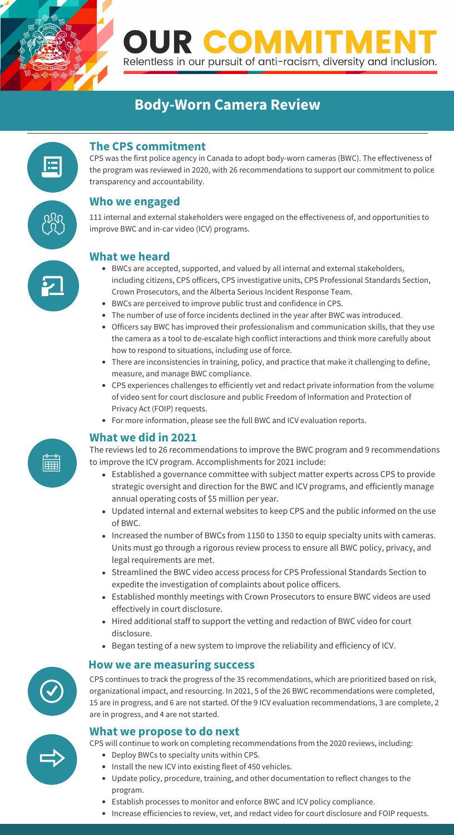

### **Body-Worn Camera Review**

- BWCs are accepted, supported, and valued by all internal and external stakeholders, including citizens, CPS officers, CPS investigative units, CPS Professional Standards Section, Crown Prosecutors, and the Alberta Serious Incident Response Team.
- BWCs are perceived to improve public trust and confidence in CPS.
- The number of use of force incidents declined in the year after BWC was introduced.
- Officers say BWC has improved their professionalism and communication skills, that they use the camera as a tool to de-escalate high conflict interactions and think more carefully about how to respond to situations, including use of force.
- There are inconsistencies in training, policy, and practice that make it challenging to define, measure, and manage BWC compliance.
- CPS experiences challenges to efficiently vet and redact private information from the volume of video sent for court disclosure and public Freedom of Information and Protection of Privacy Act (FOIP) requests.
- For more information, please see the full BWC and ICV evaluation reports.

#### **The CPS commitment**

CPS was the first police agency in Canada to adopt body-worn cameras (BWC). The effectiveness of the program was reviewed in 2020, with 26 recommendations to support our commitment to police transparency and accountability.

#### **Who we engaged**

111 internal and external stakeholders were engaged on the effectiveness of, and opportunities to improve BWC and in-car video (ICV) programs.

#### **What we heard**

#### **What we did in 2021**

ĒĦ

CPS continues to track the progress of the 35 recommendations, which are prioritized based on risk, organizational impact, and resourcing. In 2021, 5 of the 26 BWC recommendations were completed, 15 are in progress, and 6 are not started. Of the 9 ICV evaluation recommendations, 3 are complete, 2 are in progress, and 4 are not started.

#### **How we are measuring success**





#### **What we propose to do next**

The reviews led to 26 recommendations to improve the BWC program and 9 recommendations to improve the ICV program. Accomplishments for 2021 include:

- Established a governance committee with subject matter experts across CPS to provide strategic oversight and direction for the BWC and ICV programs, and efficiently manage annual operating costs of \$5 million per year.
- Updated internal and external websites to keep CPS and the public informed on the use of BWC.
- Increased the number of BWCs from 1150 to 1350 to equip specialty units with cameras. Units must go through a rigorous review process to ensure all BWC policy, privacy, and legal requirements are met.
- Streamlined the BWC video access process for CPS Professional Standards Section to expedite the investigation of complaints about police officers.
- Established monthly meetings with Crown Prosecutors to ensure BWC videos are used effectively in court disclosure.
- Hired additional staff to support the vetting and redaction of BWC video for court disclosure.
- Began testing of a new system to improve the reliability and efficiency of ICV.



CPS will continue to work on completing recommendations from the 2020 reviews, including:

- Deploy BWCs to specialty units within CPS.
- Install the new ICV into existing fleet of 450 vehicles.
- Update policy, procedure, training, and other documentation to reflect changes to the program.
- Establish processes to monitor and enforce BWC and ICV policy compliance.
- Increase efficiencies to review, vet, and redact video for court disclosure and FOIP requests.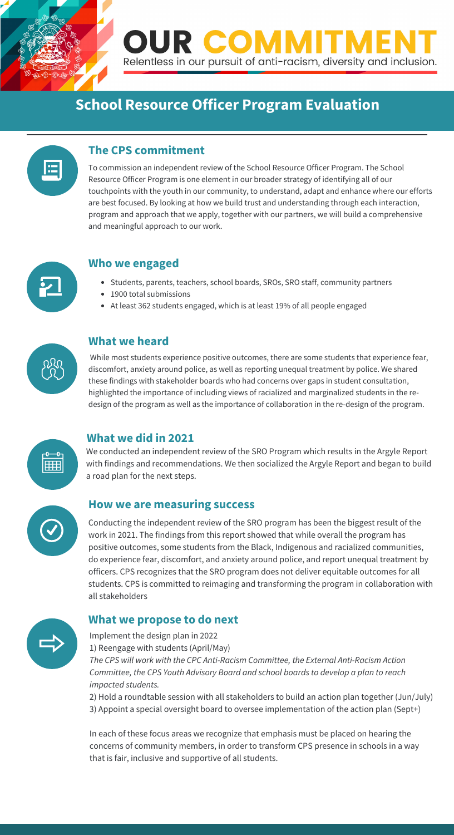

### **School Resource Officer Program Evaluation**

 While most students experience positive outcomes, there are some students that experience fear, discomfort, anxiety around police, as well as reporting unequal treatment by police. We shared these findings with stakeholder boards who had concerns over gaps in student consultation, highlighted the importance of including views of racialized and marginalized students in the redesign of the program as well as the importance of collaboration in the re-design of the program.

#### **The CPS commitment**

- Students, parents, teachers, school boards, SROs, SRO staff, community partners
- 1900 total submissions
- At least 362 students engaged, which is at least 19% of all people engaged



To commission an independent review of the School Resource Officer Program. The School Resource Officer Program is one element in our broader strategy of identifying all of our touchpoints with the youth in our community, to understand, adapt and enhance where our efforts are best focused. By looking at how we build trust and understanding through each interaction, program and approach that we apply, together with our partners, we will build a comprehensive and meaningful approach to our work.



#### **Who we engaged**

#### **What we heard**

#### **What we did in 2021**

Conducting the independent review of the SRO program has been the biggest result of the work in 2021. The findings from this report showed that while overall the program has positive outcomes, some students from the Black, Indigenous and racialized communities, do experience fear, discomfort, and anxiety around police, and report unequal treatment by officers. CPS recognizes that the SRO program does not deliver equitable outcomes for all students. CPS is committed to reimaging and transforming the program in collaboration with all stakeholders

#### **How we are measuring success**

#### **What we propose to do next**

We conducted an independent review of the SRO Program which results in the Argyle Report with findings and recommendations. We then socialized the Argyle Report and began to build a road plan for the next steps.



Implement the design plan in 2022 1) Reengage with students (April/May) *The CPS will work with the CPC Anti-Racism Committee, the External Anti-Racism Action* 



*Committee, the CPS Youth Advisory Board and school boards to develop a plan to reach impacted students.*

2) Hold a roundtable session with all stakeholders to build an action plan together (Jun/July) 3) Appoint a special oversight board to oversee implementation of the action plan (Sept+)

In each of these focus areas we recognize that emphasis must be placed on hearing the concerns of community members, in order to transform CPS presence in schools in a way that is fair, inclusive and supportive of all students.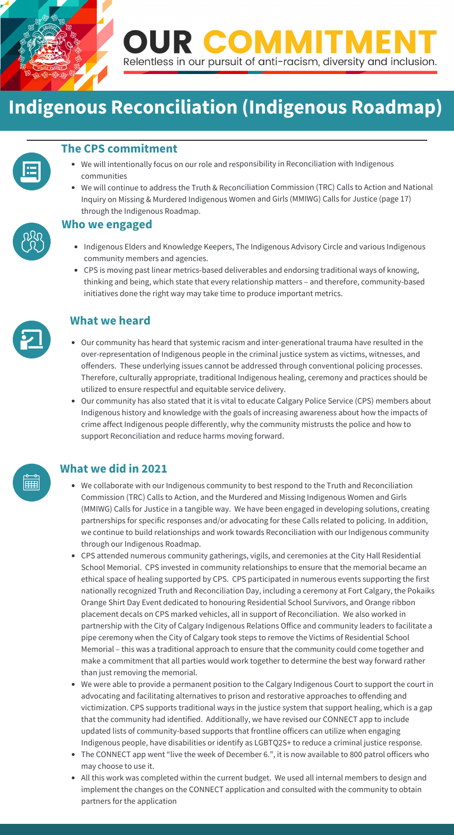

## **Indigenous Reconciliation (Indigenous Roadmap)**

- Our community has heard that systemic racism and inter-generational trauma have resulted in the over-representation of Indigenous people in the criminal justice system as victims, witnesses, and offenders. These underlying issues cannot be addressed through conventional policing processes. Therefore, culturally appropriate, traditional Indigenous healing, ceremony and practices should be utilized to ensure respectful and equitable service delivery.
- Our community has also stated that it is vital to educate Calgary Police Service (CPS) members about Indigenous history and knowledge with the goals of increasing awareness about how the impacts of crime affect Indigenous people differently, why the community mistrusts the police and how to support Reconciliation and reduce harms moving forward.



- Indigenous Elders and Knowledge Keepers, The Indigenous Advisory Circle and various Indigenous community members and agencies.
- CPS is moving past linear metrics-based deliverables and endorsing traditional ways of knowing, thinking and being, which state that every relationship matters – and therefore, community-based initiatives done the right way may take time to produce important metrics.



#### **The CPS commitment**

- We will intentionally focus on our role and responsibility in Reconciliation with Indigenous communities
- We will continue to address the Truth & Reconciliation Commission (TRC) Calls to Action and National Inquiry on Missing & Murdered Indigenous Women and Girls (MMIWG) Calls for Justice (page 17) through the Indigenous Roadmap.



#### **Who we engaged**

#### **What we heard**

#### **What we did in 2021**

- We collaborate with our Indigenous community to best respond to the Truth and Reconciliation Commission (TRC) Calls to Action, and the Murdered and Missing Indigenous Women and Girls (MMIWG) Calls for Justice in a tangible way. We have been engaged in developing solutions, creating partnerships for specific responses and/or advocating for these Calls related to policing. In addition, we continue to build relationships and work towards Reconciliation with our Indigenous community through our Indigenous Roadmap.
- CPS attended numerous community gatherings, vigils, and ceremonies at the City Hall Residential School Memorial. CPS invested in community relationships to ensure that the memorial became an ethical space of healing supported by CPS. CPS participated in numerous events supporting the first nationally recognized Truth and Reconciliation Day, including a ceremony at Fort Calgary, the Pokaiks Orange Shirt Day Event dedicated to honouring Residential School Survivors, and Orange ribbon placement decals on CPS marked vehicles, all in support of Reconciliation. We also worked in partnership with the City of Calgary Indigenous Relations Office and community leaders to facilitate a pipe ceremony when the City of Calgary took steps to remove the Victims of Residential School Memorial – this was a traditional approach to ensure that the community could come together and make a commitment that all parties would work together to determine the best way forward rather

than just removing the memorial.

- We were able to provide a permanent position to the Calgary Indigenous Court to support the court in advocating and facilitating alternatives to prison and restorative approaches to offending and victimization. CPS supports traditional ways in the justice system that support healing, which is a gap that the community had identified. Additionally, we have revised our CONNECT app to include updated lists of community-based supports that frontline officers can utilize when engaging Indigenous people, have disabilities or identify as LGBTQ2S+ to reduce a criminal justice response.
- The CONNECT app went "live the week of December 6.", it is now available to 800 patrol officers who may choose to use it.
- . .<br>All this work was completed within the current budget. We used all internal members to design and implement the changes on the CONNECT application and consulted with the community to obtain partners for the application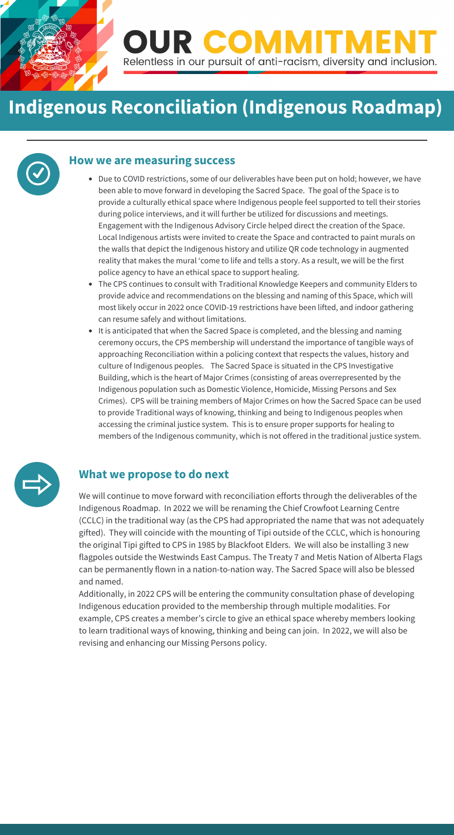

## **Indigenous Reconciliation (Indigenous Roadmap)**

- Due to COVID restrictions, some of our deliverables have been put on hold; however, we have been able to move forward in developing the Sacred Space. The goal of the Space is to provide a culturally ethical space where Indigenous people feel supported to tell their stories during police interviews, and it will further be utilized for discussions and meetings. Engagement with the Indigenous Advisory Circle helped direct the creation of the Space. Local Indigenous artists were invited to create the Space and contracted to paint murals on the walls that depict the Indigenous history and utilize QR code technology in augmented reality that makes the mural ʻcome to life and tells a story. As a result, we will be the first police agency to have an ethical space to support healing.
- The CPS continues to consult with Traditional Knowledge Keepers and community Elders to provide advice and recommendations on the blessing and naming of this Space, which will most likely occur in 2022 once COVID-19 restrictions have been lifted, and indoor gathering can resume safely and without limitations.
- It is anticipated that when the Sacred Space is completed, and the blessing and naming ceremony occurs, the CPS membership will understand the importance of tangible ways of approaching Reconciliation within a policing context that respects the values, history and culture of Indigenous peoples. The Sacred Space is situated in the CPS Investigative Building, which is the heart of Major Crimes (consisting of areas overrepresented by the Indigenous population such as Domestic Violence, Homicide, Missing Persons and Sex Crimes). CPS will be training members of Major Crimes on how the Sacred Space can be used to provide Traditional ways of knowing, thinking and being to Indigenous peoples when accessing the criminal justice system. This is to ensure proper supports for healing to members of the Indigenous community, which is not offered in the traditional justice system.



#### **How we are measuring success**

### **What we propose to do next**

We will continue to move forward with reconciliation efforts through the deliverables of the Indigenous Roadmap. In 2022 we will be renaming the Chief Crowfoot Learning Centre (CCLC) in the traditional way (as the CPS had appropriated the name that was not adequately gifted). They will coincide with the mounting of Tipi outside of the CCLC, which is honouring the original Tipi gifted to CPS in 1985 by Blackfoot Elders. We will also be installing 3 new flagpoles outside the Westwinds East Campus. The Treaty 7 and Metis Nation of Alberta Flags can be permanently flown in a nation-to-nation way. The Sacred Space will also be blessed and named.

Additionally, in 2022 CPS will be entering the community consultation phase of developing Indigenous education provided to the membership through multiple modalities. For example, CPS creates a member's circle to give an ethical space whereby members looking to learn traditional ways of knowing, thinking and being can join. In 2022, we will also be revising and enhancing our Missing Persons policy.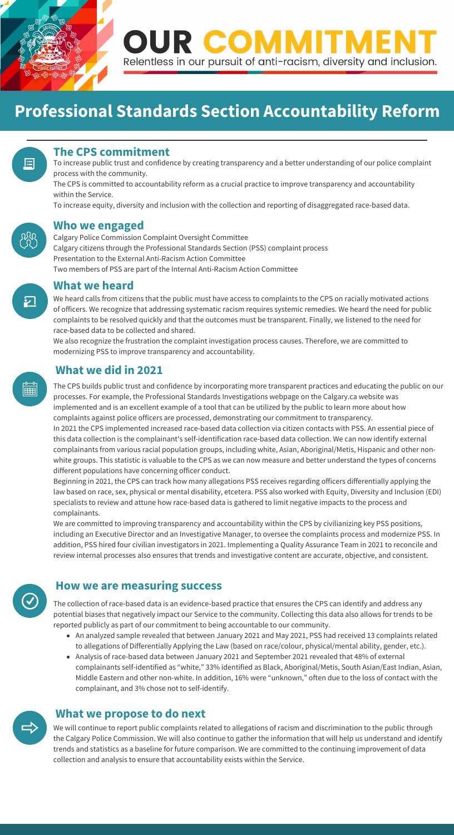

### **Professional Standards Section Accountability Reform**

We heard calls from citizens that the public must have access to complaints to the CPS on racially motivated actions of officers. We recognize that addressing systematic racism requires systemic remedies. We heard the need for public complaints to be resolved quickly and that the outcomes must be transparent. Finally, we listened to the need for race-based data to be collected and shared.

We also recognize the frustration the complaint investigation process causes. Therefore, we are committed to modernizing PSS to improve transparency and accountability.

#### **The CPS commitment**

To increase public trust and confidence by creating transparency and a better understanding of our police complaint process with the community.

The CPS is committed to accountability reform as a crucial practice to improve transparency and accountability within the Service.

To increase equity, diversity and inclusion with the collection and reporting of disaggregated race-based data.

#### **Who we engaged**

Calgary Police Commission Complaint Oversight Committee Calgary citizens through the Professional Standards Section (PSS) complaint process Presentation to the External Anti-Racism Action Committee Two members of PSS are part of the Internal Anti-Racism Action Committee

#### **What we heard**

#### **What we did in 2021**

The collection of race-based data is an evidence-based practice that ensures the CPS can identify and address any potential biases that negatively impact our Service to the community. Collecting this data also allows for trends to be reported publicly as part of our commitment to being accountable to our community.

- An analyzed sample revealed that between January 2021 and May 2021, PSS had received 13 complaints related to allegations of Differentially Applying the Law (based on race/colour, physical/mental ability, gender, etc.).
- Analysis of race-based data between January 2021 and September 2021 revealed that 48% of external



**[2]** 

E



complainants self-identified as "white," 33% identified as Black, Aboriginal/Metis, South Asian/East Indian, Asian, Middle Eastern and other non-white. In addition, 16% were "unknown," often due to the loss of contact with the complainant, and 3% chose not to self-identify.



#### **How we are measuring success**

#### **What we propose to do next**

The CPS builds public trust and confidence by incorporating more transparent practices and educating the public on our processes. For example, the Professional Standards Investigations webpage on the Calgary.ca website was implemented and is an excellent example of a tool that can be utilized by the public to learn more about how complaints against police officers are processed, demonstrating our commitment to transparency. In 2021 the CPS implemented increased race-based data collection via citizen contacts with PSS. An essential piece of this data collection is the complainant's self-identification race-based data collection. We can now identify external

complainants from various racial population groups, including white, Asian, Aboriginal/Metis, Hispanic and other nonwhite groups. This statistic is valuable to the CPS as we can now measure and better understand the types of concerns different populations have concerning officer conduct.

Beginning in 2021, the CPS can track how many allegations PSS receives regarding officers differentially applying the law based on race, sex, physical or mental disability, etcetera. PSS also worked with Equity, Diversity and Inclusion (EDI) specialists to review and attune how race-based data is gathered to limit negative impacts to the process and complainants.

We are committed to improving transparency and accountability within the CPS by civilianizing key PSS positions, including an Executive Director and an Investigative Manager, to oversee the complaints process and modernize PSS. In addition, PSS hired four civilian investigators in 2021. Implementing a Quality Assurance Team in 2021 to reconcile and review internal processes also ensures that trends and investigative content are accurate, objective, and consistent.

We will continue to report public complaints related to allegations of racism and discrimination to the public through the Calgary Police Commission. We will also continue to gather the information that will help us understand and identify trends and statistics as a baseline for future comparison. We are committed to the continuing improvement of data collection and analysis to ensure that accountability exists within the Service.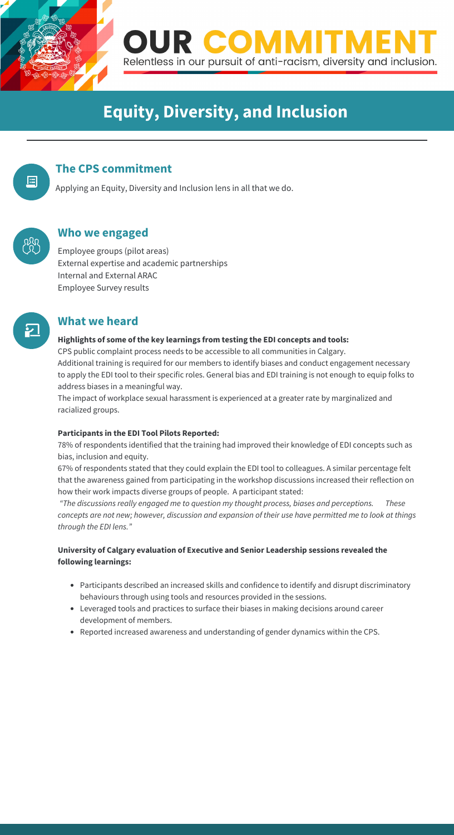

## **Equity, Diversity, and Inclusion**

#### **Highlights of some of the key learnings from testing the EDI concepts and tools:**

CPS public complaint process needs to be accessible to all communities in Calgary. Additional training is required for our members to identify biases and conduct engagement necessary to apply the EDI tool to their specific roles. General bias and EDI training is not enough to equip folks to address biases in a meaningful way.

The impact of workplace sexual harassment is experienced at a greater rate by marginalized and racialized groups.

#### **Participants in the EDI Tool Pilots Reported:**

78% of respondents identified that the training had improved their knowledge of EDI concepts such as bias, inclusion and equity.

67% of respondents stated that they could explain the EDI tool to colleagues. A similar percentage felt that the awareness gained from participating in the workshop discussions increased their reflection on how their work impacts diverse groups of people. A participant stated:

*"The discussions really engaged me to question my thought process, biases and perceptions. These concepts are not new; however, discussion and expansion of their use have permitted me to look at things through the EDI lens."*

#### **University of Calgary evaluation of Executive and Senior Leadership sessions revealed the following learnings:**

- Participants described an increased skills and confidence to identify and disrupt discriminatory behaviours through using tools and resources provided in the sessions.
- Leveraged tools and practices to surface their biases in making decisions around career development of members.
- Reported increased awareness and understanding of gender dynamics within the CPS.

#### **The CPS commitment**

Applying an Equity, Diversity and Inclusion lens in all that we do.



E

#### **Who we engaged**

Employee groups (pilot areas) External expertise and academic partnerships Internal and External ARAC Employee Survey results

#### **What we heard**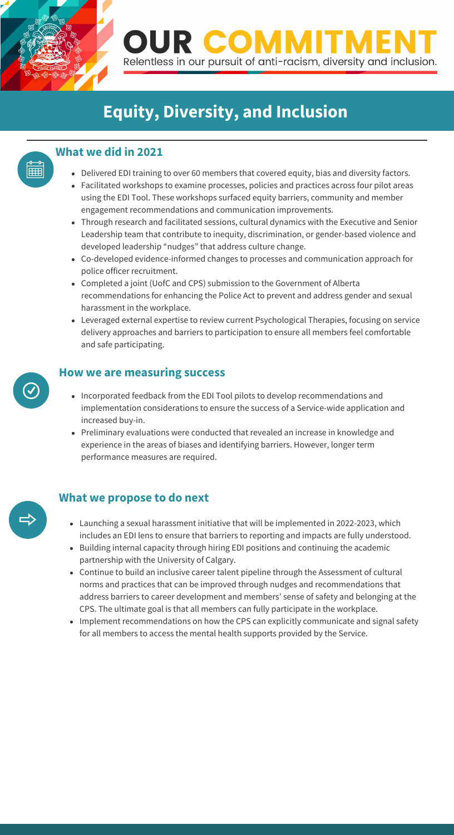

莊

**OUR COMN** Relentless in our pursuit of anti-racism, diversity and inclusion.

## **Equity, Diversity, and Inclusion**

#### **What we did in 2021**

- Incorporated feedback from the EDI Tool pilots to develop recommendations and implementation considerations to ensure the success of a Service-wide application and increased buy-in.
- Preliminary evaluations were conducted that revealed an increase in knowledge and experience in the areas of biases and identifying barriers. However, longer term performance measures are required.

#### **How we are measuring success**

#### **What we propose to do next**

- Delivered EDI training to over 60 members that covered equity, bias and diversity factors.
- Facilitated workshops to examine processes, policies and practices across four pilot areas using the EDI Tool. These workshops surfaced equity barriers, community and member engagement recommendations and communication improvements.
- Through research and facilitated sessions, cultural dynamics with the Executive and Senior Leadership team that contribute to inequity, discrimination, or gender-based violence and developed leadership "nudges" that address culture change.
- Co-developed evidence-informed changes to processes and communication approach for police officer recruitment.
- Completed a joint (UofC and CPS) submission to the Government of Alberta recommendations for enhancing the Police Act to prevent and address gender and sexual harassment in the workplace.
- Leveraged external expertise to review current Psychological Therapies, focusing on service delivery approaches and barriers to participation to ensure all members feel comfortable and safe participating.

- Launching a sexual harassment initiative that will be implemented in 2022-2023, which includes an EDI lens to ensure that barriers to reporting and impacts are fully understood.
- Building internal capacity through hiring EDI positions and continuing the academic partnership with the University of Calgary.
- Continue to build an inclusive career talent pipeline through the Assessment of cultural norms and practices that can be improved through nudges and recommendations that address barriers to career development and members' sense of safety and belonging at the CPS. The ultimate goal is that all members can fully participate in the workplace.
- Implement recommendations on how the CPS can explicitly communicate and signal safety for all members to access the mental health supports provided by the Service.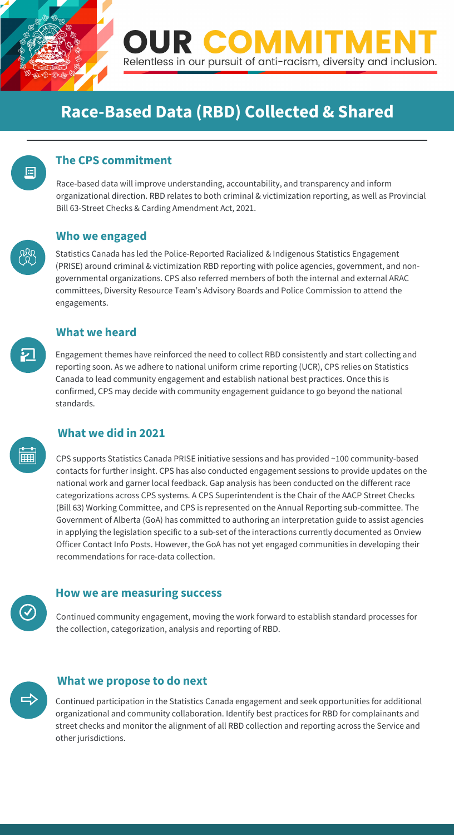

僵

**OUR COMN** Relentless in our pursuit of anti-racism, diversity and inclusion.

### **Race-Based Data (RBD) Collected & Shared**

Engagement themes have reinforced the need to collect RBD consistently and start collecting and reporting soon. As we adhere to national uniform crime reporting (UCR), CPS relies on Statistics Canada to lead community engagement and establish national best practices. Once this is confirmed, CPS may decide with community engagement guidance to go beyond the national standards.

ا بز

### **The CPS commitment**

Race-based data will improve understanding, accountability, and transparency and inform organizational direction. RBD relates to both criminal & victimization reporting, as well as Provincial Bill 63-Street Checks & Carding Amendment Act, 2021.

#### **Who we engaged**

Statistics Canada has led the Police-Reported Racialized & Indigenous Statistics Engagement (PRISE) around criminal & victimization RBD reporting with police agencies, government, and nongovernmental organizations. CPS also referred members of both the internal and external ARAC committees, Diversity Resource Team's Advisory Boards and Police Commission to attend the engagements.

#### **What we heard**

#### **What we did in 2021**

Continued community engagement, moving the work forward to establish standard processes for the collection, categorization, analysis and reporting of RBD.



#### **How we are measuring success**

#### **What we propose to do next**

CPS supports Statistics Canada PRISE initiative sessions and has provided ~100 community-based contacts for further insight. CPS has also conducted engagement sessions to provide updates on the national work and garner local feedback. Gap analysis has been conducted on the different race categorizations across CPS systems. A CPS Superintendent is the Chair of the AACP Street Checks (Bill 63) Working Committee, and CPS is represented on the Annual Reporting sub-committee. The Government of Alberta (GoA) has committed to authoring an interpretation guide to assist agencies in applying the legislation specific to a sub-set of the interactions currently documented as Onview Officer Contact Info Posts. However, the GoA has not yet engaged communities in developing their recommendations for race-data collection.

Continued participation in the Statistics Canada engagement and seek opportunities for additional organizational and community collaboration. Identify best practices for RBD for complainants and street checks and monitor the alignment of all RBD collection and reporting across the Service and other jurisdictions.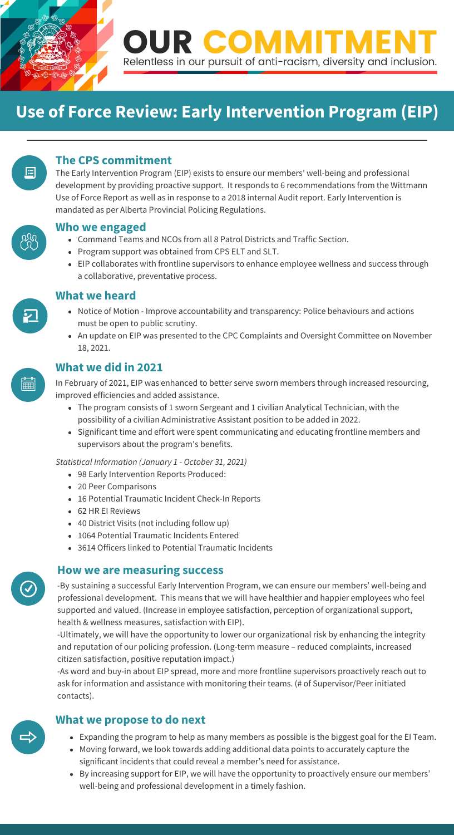

### **Use of Force Review: Early Intervention Program (EIP)**



- Notice of Motion Improve accountability and transparency: Police behaviours and actions must be open to public scrutiny.
- An update on EIP was presented to the CPC Complaints and Oversight Committee on November 18, 2021.



<u>.</u>

#### **The CPS commitment**

The Early Intervention Program (EIP) exists to ensure our members' well-being and professional development by providing proactive support. It responds to 6 recommendations from the Wittmann Use of Force Report as well as in response to a 2018 internal Audit report. Early Intervention is mandated as per Alberta Provincial Policing Regulations.



#### **Who we engaged**

- Command Teams and NCOs from all 8 Patrol Districts and Traffic Section.
- Program support was obtained from CPS ELT and SLT.
- EIP collaborates with frontline supervisors to enhance employee wellness and success through a collaborative, preventative process.

#### **What we heard**

### **What we did in 2021**

-By sustaining a successful Early Intervention Program, we can ensure our members' well-being and professional development. This means that we will have healthier and happier employees who feel supported and valued. (Increase in employee satisfaction, perception of organizational support, health & wellness measures, satisfaction with EIP).

-Ultimately, we will have the opportunity to lower our organizational risk by enhancing the integrity and reputation of our policing profession. (Long-term measure – reduced complaints, increased citizen satisfaction, positive reputation impact.)



-As word and buy-in about EIP spread, more and more frontline supervisors proactively reach out to ask for information and assistance with monitoring their teams. (# of Supervisor/Peer initiated contacts).



#### **How we are measuring success**

#### **What we propose to do next**

In February of 2021, EIP was enhanced to better serve sworn members through increased resourcing, improved efficiencies and added assistance.

- The program consists of 1 sworn Sergeant and 1 civilian Analytical Technician, with the possibility of a civilian Administrative Assistant position to be added in 2022.
- Significant time and effort were spent communicating and educating frontline members and supervisors about the program's benefits.

*Statistical Information (January 1 - October 31, 2021)*

- 98 Early Intervention Reports Produced:
- 20 Peer Comparisons
- 16 Potential Traumatic Incident Check-In Reports
- 62 HR EI Reviews
- 40 District Visits (not including follow up)
- 1064 Potential Traumatic Incidents Entered
- 3614 Officers linked to Potential Traumatic Incidents

- Expanding the program to help as many members as possible is the biggest goal for the EI Team.
- Moving forward, we look towards adding additional data points to accurately capture the significant incidents that could reveal a member's need for assistance.
- By increasing support for EIP, we will have the opportunity to proactively ensure our members' well-being and professional development in a timely fashion.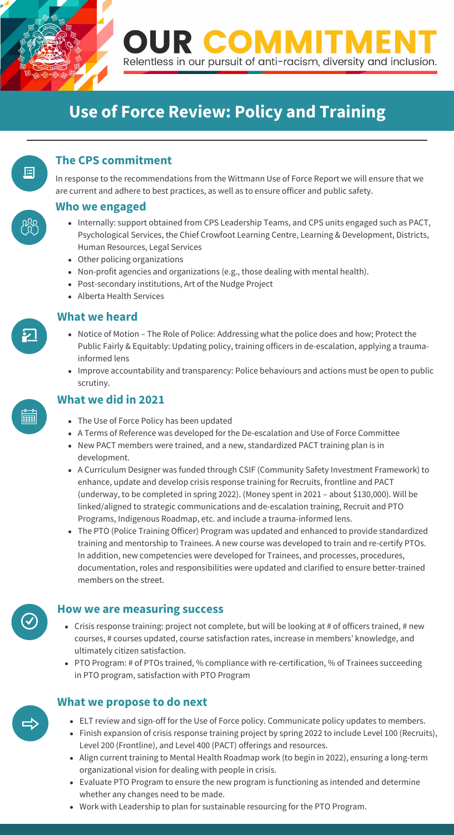

### **Use of Force Review: Policy and Training**

# 巪

- Notice of Motion The Role of Police: Addressing what the police does and how; Protect the Public Fairly & Equitably: Updating policy, training officers in de-escalation, applying a traumainformed lens
- Improve accountability and transparency: Police behaviours and actions must be open to public scrutiny.



<u>ا مغ</u>

#### **The CPS commitment**

In response to the recommendations from the Wittmann Use of Force Report we will ensure that we are current and adhere to best practices, as well as to ensure officer and public safety.

- Internally: support obtained from CPS Leadership Teams, and CPS units engaged such as PACT, Psychological Services, the Chief Crowfoot Learning Centre, Learning & Development, Districts, Human Resources, Legal Services
- Other policing organizations
- Non-profit agencies and organizations (e.g., those dealing with mental health).
- Post-secondary institutions, Art of the Nudge Project
- Alberta Health Services

#### **Who we engaged**

- Crisis response training: project not complete, but will be looking at # of officers trained, # new courses, # courses updated, course satisfaction rates, increase in members' knowledge, and ultimately citizen satisfaction.
- PTO Program: # of PTOs trained, % compliance with re-certification, % of Trainees succeeding

#### **What we heard**

#### **What we did in 2021**

in PTO program, satisfaction with PTO Program



#### **How we are measuring success**

#### **What we propose to do next**

- The Use of Force Policy has been updated
- A Terms of Reference was developed for the De-escalation and Use of Force Committee
- New PACT members were trained, and a new, standardized PACT training plan is in development.
- A Curriculum Designer was funded through CSIF (Community Safety Investment Framework) to enhance, update and develop crisis response training for Recruits, frontline and PACT (underway, to be completed in spring 2022). (Money spent in 2021 – about \$130,000). Will be linked/aligned to strategic communications and de-escalation training, Recruit and PTO Programs, Indigenous Roadmap, etc. and include a trauma-informed lens.
- The PTO (Police Training Officer) Program was updated and enhanced to provide standardized training and mentorship to Trainees. A new course was developed to train and re-certify PTOs. In addition, new competencies were developed for Trainees, and processes, procedures, documentation, roles and responsibilities were updated and clarified to ensure better-trained members on the street.

- ELT review and sign-off for the Use of Force policy. Communicate policy updates to members.
- Finish expansion of crisis response training project by spring 2022 to include Level 100 (Recruits), Level 200 (Frontline), and Level 400 (PACT) offerings and resources.
- organizational vision for dealing with people in crisis. Align current training to Mental Health Roadmap work (to begin in 2022), ensuring a long-term
- Evaluate PTO Program to ensure the new program is functioning as intended and determine whether any changes need to be made.
- Work with Leadership to plan for sustainable resourcing for the PTO Program.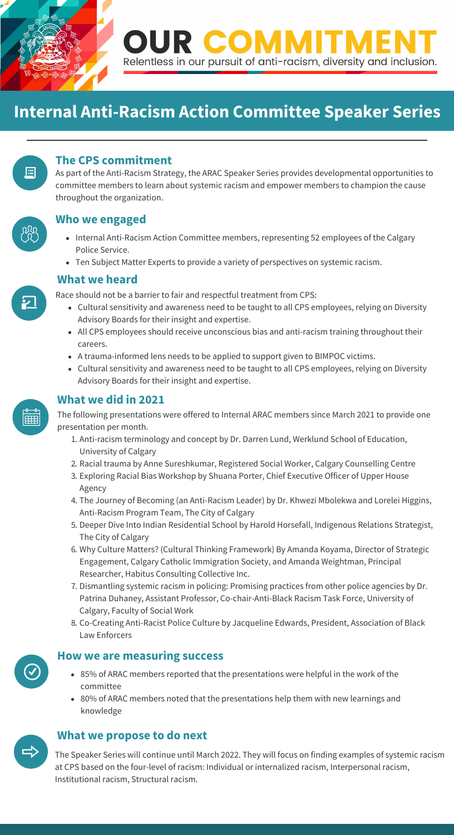

### **Internal Anti-Racism Action Committee Speaker Series**



Race should not be a barrier to fair and respectful treatment from CPS:

- Cultural sensitivity and awareness need to be taught to all CPS employees, relying on Diversity Advisory Boards for their insight and expertise.
- All CPS employees should receive unconscious bias and anti-racism training throughout their careers.
- A trauma-informed lens needs to be applied to support given to BIMPOC victims.
- Cultural sensitivity and awareness need to be taught to all CPS employees, relying on Diversity Advisory Boards for their insight and expertise.
- Internal Anti-Racism Action Committee members, representing 52 employees of the Calgary Police Service.
- Ten Subject Matter Experts to provide a variety of perspectives on systemic racism.

#### **The CPS commitment**

As part of the Anti-Racism Strategy, the ARAC Speaker Series provides developmental opportunities to committee members to learn about systemic racism and empower members to champion the cause throughout the organization.



⊵

#### **Who we engaged**

#### **What we heard**

#### **What we did in 2021**



- 85% of ARAC members reported that the presentations were helpful in the work of the committee
- 80% of ARAC members noted that the presentations help them with new learnings and knowledge



#### **How we are measuring success**

#### **What we propose to do next**

The following presentations were offered to Internal ARAC members since March 2021 to provide one presentation per month.

at CPS based on the four-level of racism: Individual or internalized racism, Interpersonal racism,<br>In this case of the control of the control of the control of the control of the control of the control of the The Speaker Series will continue until March 2022. They will focus on finding examples of systemic racism Institutional racism, Structural racism.

- 1. Anti-racism terminology and concept by Dr. Darren Lund, Werklund School of Education, University of Calgary
- 2. Racial trauma by Anne Sureshkumar, Registered Social Worker, Calgary Counselling Centre
- 3. Exploring Racial Bias Workshop by Shuana Porter, Chief Executive Officer of Upper House Agency
- 4. The Journey of Becoming (an Anti-Racism Leader) by Dr. Khwezi Mbolekwa and Lorelei Higgins, Anti-Racism Program Team, The City of Calgary
- 5. Deeper Dive Into Indian Residential School by Harold Horsefall, Indigenous Relations Strategist, The City of Calgary
- 6. Why Culture Matters? (Cultural Thinking Framework) By Amanda Koyama, Director of Strategic Engagement, Calgary Catholic Immigration Society, and Amanda Weightman, Principal Researcher, Habitus Consulting Collective Inc.
- 7. Dismantling systemic racism in policing: Promising practices from other police agencies by Dr. Patrina Duhaney, Assistant Professor, Co-chair-Anti-Black Racism Task Force, University of Calgary, Faculty of Social Work
- 8. Co-Creating Anti-Racist Police Culture by Jacqueline Edwards, President, Association of Black Law Enforcers